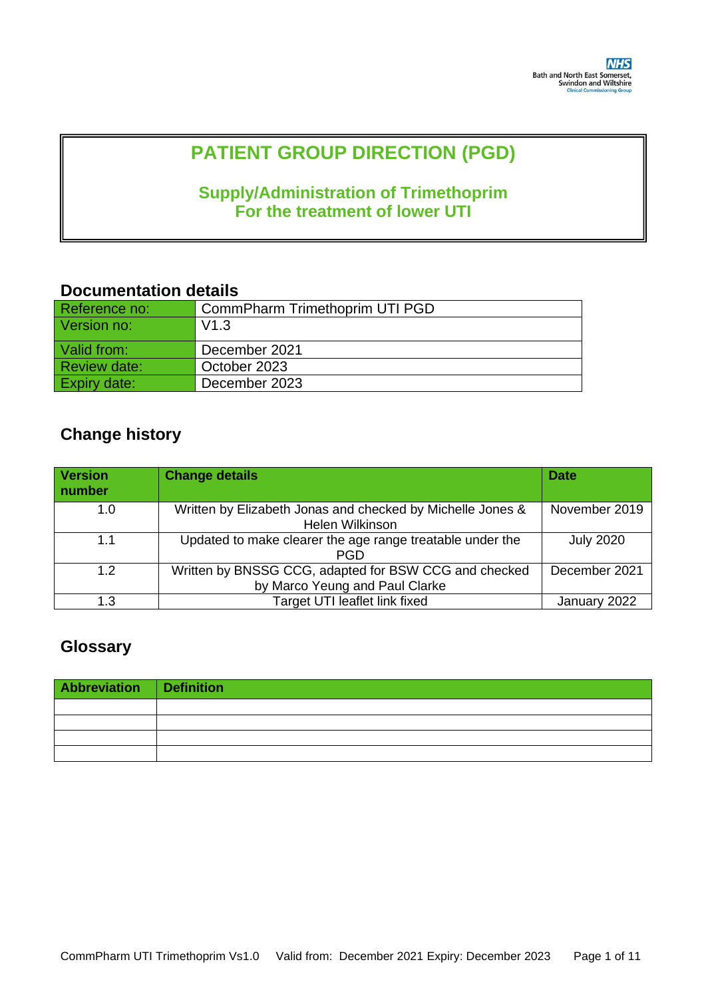# **PATIENT GROUP DIRECTION (PGD)**

# **Supply/Administration of Trimethoprim For the treatment of lower UTI**

## **Documentation details**

| Reference no:       | CommPharm Trimethoprim UTI PGD |
|---------------------|--------------------------------|
| Version no:         | V1.3                           |
| Valid from:         | December 2021                  |
| <b>Review date:</b> | October 2023                   |
| Expiry date:        | December 2023                  |

# **Change history**

| <b>Version</b><br>number | <b>Change details</b>                                                         | <b>Date</b>      |
|--------------------------|-------------------------------------------------------------------------------|------------------|
| 1.0                      | Written by Elizabeth Jonas and checked by Michelle Jones &<br>Helen Wilkinson | November 2019    |
| 1.1                      | Updated to make clearer the age range treatable under the<br><b>PGD</b>       | <b>July 2020</b> |
| 1.2                      | Written by BNSSG CCG, adapted for BSW CCG and checked                         | December 2021    |
|                          | by Marco Yeung and Paul Clarke                                                |                  |
| 1.3                      | Target UTI leaflet link fixed                                                 | January 2022     |

# **Glossary**

| Abbreviation Definition |  |
|-------------------------|--|
|                         |  |
|                         |  |
|                         |  |
|                         |  |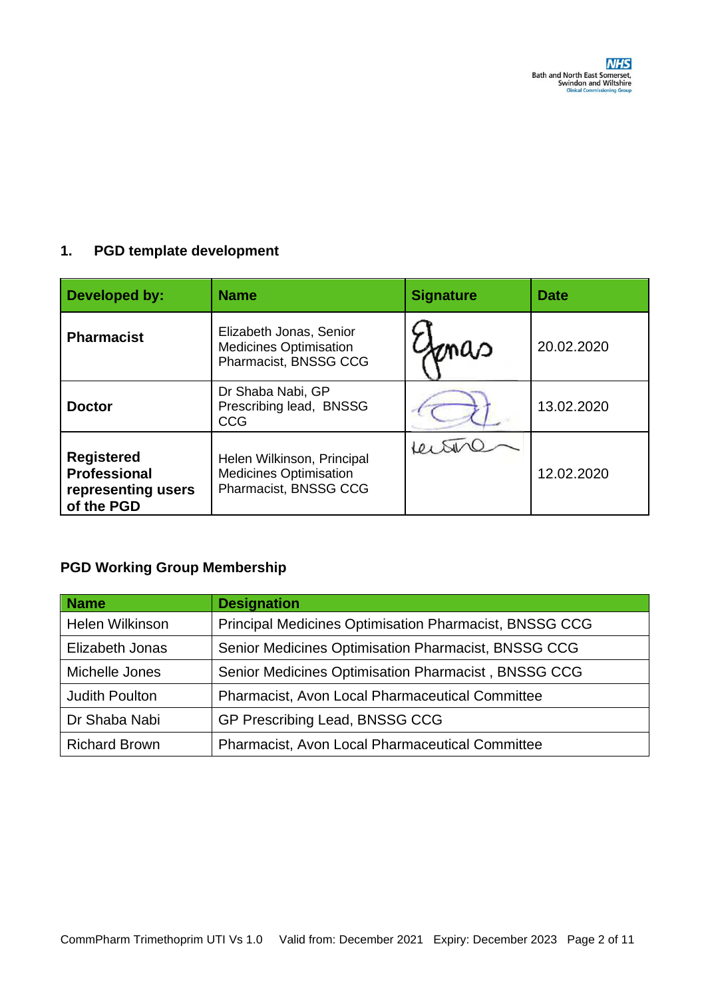### **1. PGD template development**

| Developed by:                                                                | <b>Name</b>                                                                              | <b>Signature</b> | <b>Date</b> |
|------------------------------------------------------------------------------|------------------------------------------------------------------------------------------|------------------|-------------|
| <b>Pharmacist</b>                                                            | Elizabeth Jonas, Senior<br><b>Medicines Optimisation</b><br>maa<br>Pharmacist, BNSSG CCG |                  | 20.02.2020  |
| <b>Doctor</b>                                                                | Dr Shaba Nabi, GP<br>Prescribing lead, BNSSG<br><b>CCG</b>                               |                  | 13.02.2020  |
| <b>Registered</b><br><b>Professional</b><br>representing users<br>of the PGD | Helen Wilkinson, Principal<br><b>Medicines Optimisation</b><br>Pharmacist, BNSSG CCG     |                  | 12.02.2020  |

# **PGD Working Group Membership**

| <b>Name</b>            | <b>Designation</b>                                     |
|------------------------|--------------------------------------------------------|
| <b>Helen Wilkinson</b> | Principal Medicines Optimisation Pharmacist, BNSSG CCG |
| Elizabeth Jonas        | Senior Medicines Optimisation Pharmacist, BNSSG CCG    |
| Michelle Jones         | Senior Medicines Optimisation Pharmacist, BNSSG CCG    |
| <b>Judith Poulton</b>  | <b>Pharmacist, Avon Local Pharmaceutical Committee</b> |
| Dr Shaba Nabi          | GP Prescribing Lead, BNSSG CCG                         |
| <b>Richard Brown</b>   | Pharmacist, Avon Local Pharmaceutical Committee        |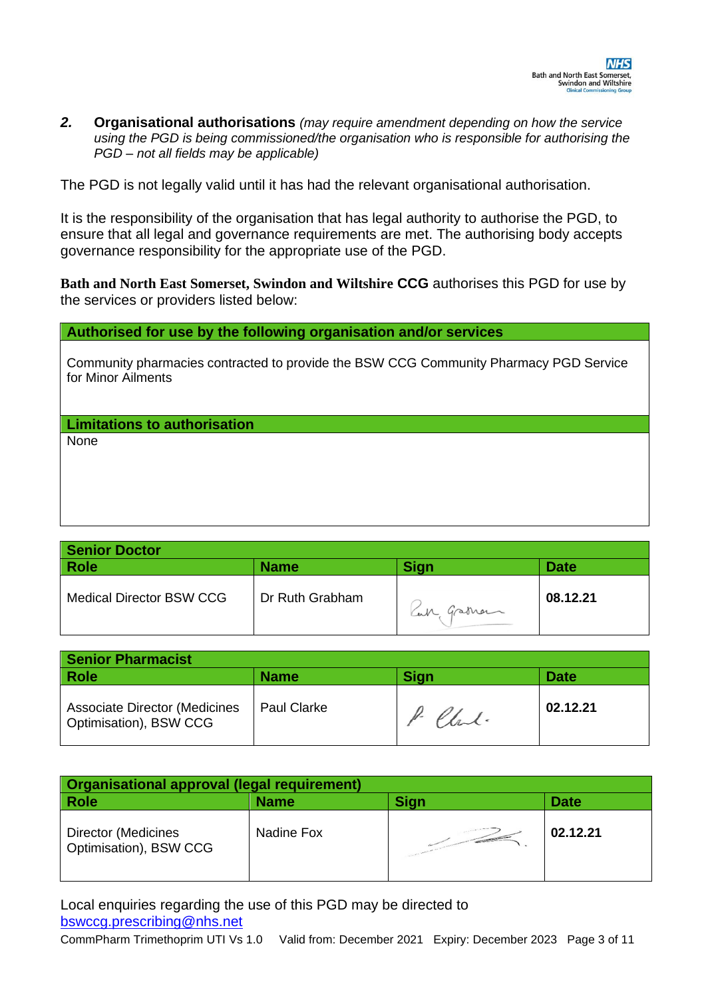*2.* **Organisational authorisations** *(may require amendment depending on how the service using the PGD is being commissioned/the organisation who is responsible for authorising the PGD – not all fields may be applicable)* 

The PGD is not legally valid until it has had the relevant organisational authorisation.

It is the responsibility of the organisation that has legal authority to authorise the PGD, to ensure that all legal and governance requirements are met. The authorising body accepts governance responsibility for the appropriate use of the PGD.

**Bath and North East Somerset, Swindon and Wiltshire CCG** authorises this PGD for use by the services or providers listed below:

#### **Authorised for use by the following organisation and/or services**

Community pharmacies contracted to provide the BSW CCG Community Pharmacy PGD Service for Minor Ailments

**Limitations to authorisation**

None

| <b>Senior Doctor</b>            |                 |            |             |
|---------------------------------|-----------------|------------|-------------|
| Role                            | <b>Name</b>     | Sign       | <b>Date</b> |
| <b>Medical Director BSW CCG</b> | Dr Ruth Grabham | Can Graman | 08.12.21    |

| <b>Senior Pharmacist</b>                                       |                    |             |             |
|----------------------------------------------------------------|--------------------|-------------|-------------|
| Role                                                           | <b>Name</b>        | <b>Sign</b> | <b>Date</b> |
| <b>Associate Director (Medicines</b><br>Optimisation), BSW CCG | <b>Paul Clarke</b> | Charl.      | 02.12.21    |

| Organisational approval (legal requirement)   |             |                   |             |
|-----------------------------------------------|-------------|-------------------|-------------|
| <b>Role</b>                                   | <b>Name</b> | <b>Sign</b>       | <b>Date</b> |
| Director (Medicines<br>Optimisation), BSW CCG | Nadine Fox  | <b>STATISTICS</b> | 02.12.21    |

Local enquiries regarding the use of this PGD may be directed to [bswccg.prescribing@nhs.net](mailto:bswccg.prescribing@nhs.net)

CommPharm Trimethoprim UTI Vs 1.0 Valid from: December 2021 Expiry: December 2023 Page 3 of 11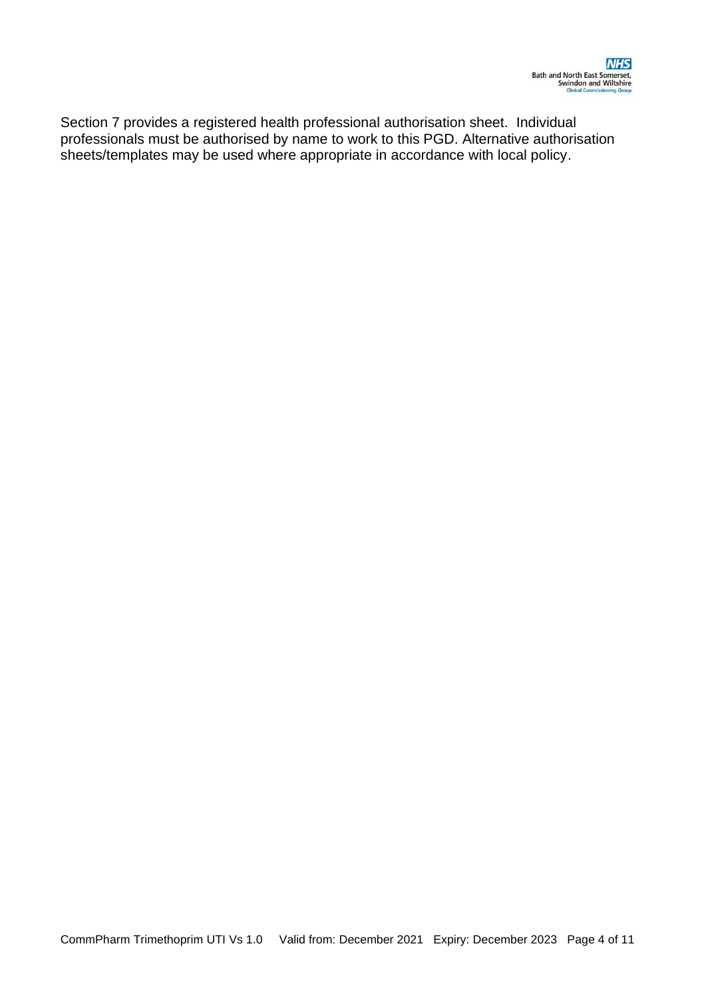Section 7 provides a registered health professional authorisation sheet. Individual professionals must be authorised by name to work to this PGD. Alternative authorisation sheets/templates may be used where appropriate in accordance with local policy.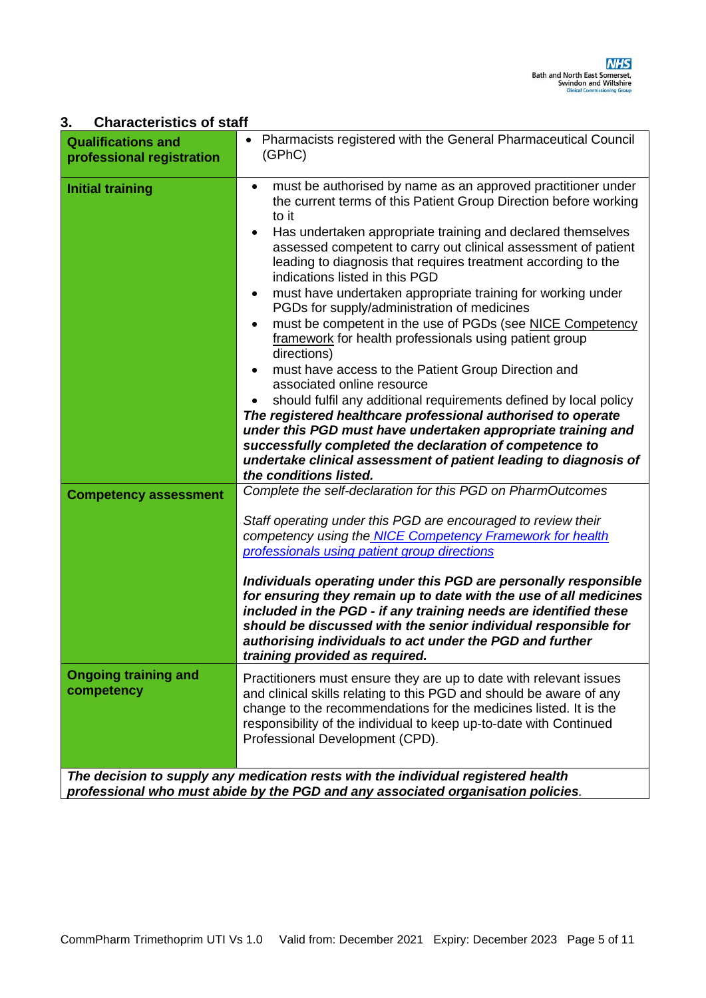### **3. Characteristics of staff**

| professional registration                 | (GPhC)                                                                                                                                                                                                                                                                                                                                                                                                                                                                                                                                                                                                                                                                                                                                                                                                                                                                                                                                                                                                                                                                                            |
|-------------------------------------------|---------------------------------------------------------------------------------------------------------------------------------------------------------------------------------------------------------------------------------------------------------------------------------------------------------------------------------------------------------------------------------------------------------------------------------------------------------------------------------------------------------------------------------------------------------------------------------------------------------------------------------------------------------------------------------------------------------------------------------------------------------------------------------------------------------------------------------------------------------------------------------------------------------------------------------------------------------------------------------------------------------------------------------------------------------------------------------------------------|
| <b>Initial training</b>                   | must be authorised by name as an approved practitioner under<br>the current terms of this Patient Group Direction before working<br>to it<br>Has undertaken appropriate training and declared themselves<br>$\bullet$<br>assessed competent to carry out clinical assessment of patient<br>leading to diagnosis that requires treatment according to the<br>indications listed in this PGD<br>must have undertaken appropriate training for working under<br>PGDs for supply/administration of medicines<br>must be competent in the use of PGDs (see NICE Competency<br>framework for health professionals using patient group<br>directions)<br>must have access to the Patient Group Direction and<br>associated online resource<br>should fulfil any additional requirements defined by local policy<br>The registered healthcare professional authorised to operate<br>under this PGD must have undertaken appropriate training and<br>successfully completed the declaration of competence to<br>undertake clinical assessment of patient leading to diagnosis of<br>the conditions listed. |
| <b>Competency assessment</b>              | Complete the self-declaration for this PGD on PharmOutcomes<br>Staff operating under this PGD are encouraged to review their<br>competency using the NICE Competency Framework for health<br>professionals using patient group directions<br>Individuals operating under this PGD are personally responsible<br>for ensuring they remain up to date with the use of all medicines<br>included in the PGD - if any training needs are identified these<br>should be discussed with the senior individual responsible for<br>authorising individuals to act under the PGD and further<br>training provided as required.                                                                                                                                                                                                                                                                                                                                                                                                                                                                             |
| <b>Ongoing training and</b><br>competency | Practitioners must ensure they are up to date with relevant issues<br>and clinical skills relating to this PGD and should be aware of any<br>change to the recommendations for the medicines listed. It is the<br>responsibility of the individual to keep up-to-date with Continued<br>Professional Development (CPD).<br>The decision to supply any medication rests with the individual registered health<br>professional who must abide by the PGD and any associated organisation policies.                                                                                                                                                                                                                                                                                                                                                                                                                                                                                                                                                                                                  |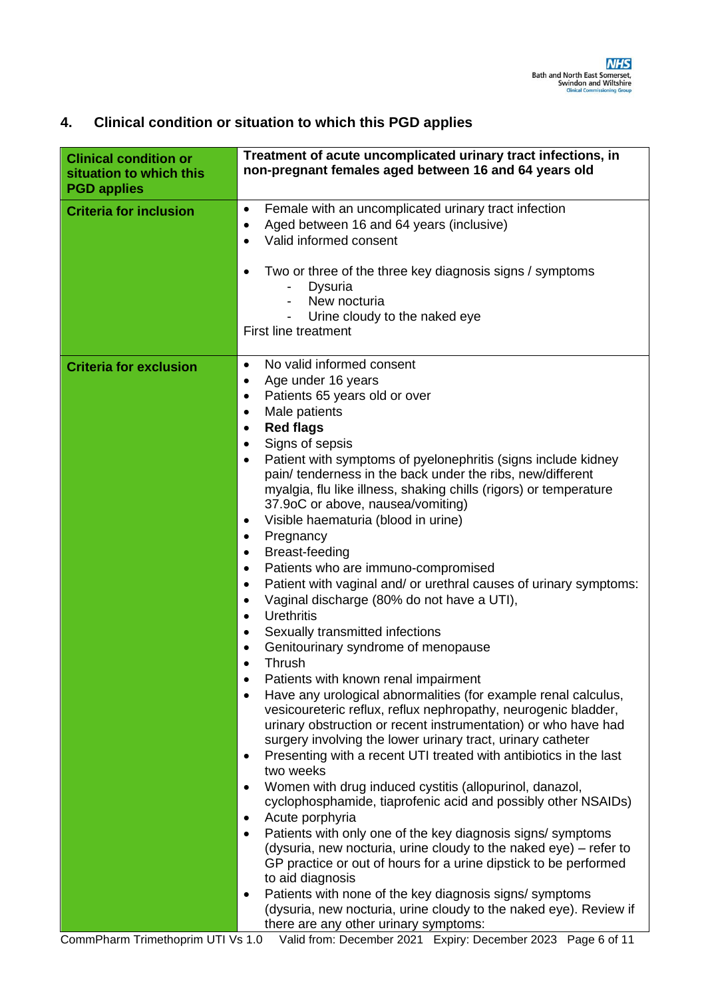| <b>Clinical condition or</b><br>situation to which this<br><b>PGD applies</b> | Treatment of acute uncomplicated urinary tract infections, in<br>non-pregnant females aged between 16 and 64 years old                                                                                                                                                                                                                                                                                                                                                                                                                                                                                                                                                                                                                                                                                                                                                                                                                                                                                                                                                                                                                                                                                                                                                                                                                                                                                                                                                                                                                                                                                                                                                                                                                                                                                                                                                                                                            |
|-------------------------------------------------------------------------------|-----------------------------------------------------------------------------------------------------------------------------------------------------------------------------------------------------------------------------------------------------------------------------------------------------------------------------------------------------------------------------------------------------------------------------------------------------------------------------------------------------------------------------------------------------------------------------------------------------------------------------------------------------------------------------------------------------------------------------------------------------------------------------------------------------------------------------------------------------------------------------------------------------------------------------------------------------------------------------------------------------------------------------------------------------------------------------------------------------------------------------------------------------------------------------------------------------------------------------------------------------------------------------------------------------------------------------------------------------------------------------------------------------------------------------------------------------------------------------------------------------------------------------------------------------------------------------------------------------------------------------------------------------------------------------------------------------------------------------------------------------------------------------------------------------------------------------------------------------------------------------------------------------------------------------------|
| <b>Criteria for inclusion</b>                                                 | Female with an uncomplicated urinary tract infection<br>٠<br>Aged between 16 and 64 years (inclusive)<br>٠<br>Valid informed consent<br>Two or three of the three key diagnosis signs / symptoms<br>٠<br>Dysuria<br>New nocturia<br>Urine cloudy to the naked eye<br><b>First line treatment</b>                                                                                                                                                                                                                                                                                                                                                                                                                                                                                                                                                                                                                                                                                                                                                                                                                                                                                                                                                                                                                                                                                                                                                                                                                                                                                                                                                                                                                                                                                                                                                                                                                                  |
| <b>Criteria for exclusion</b>                                                 | No valid informed consent<br>$\bullet$<br>Age under 16 years<br>$\bullet$<br>Patients 65 years old or over<br>٠<br>Male patients<br>$\bullet$<br><b>Red flags</b><br>$\bullet$<br>Signs of sepsis<br>$\bullet$<br>Patient with symptoms of pyelonephritis (signs include kidney<br>$\bullet$<br>pain/ tenderness in the back under the ribs, new/different<br>myalgia, flu like illness, shaking chills (rigors) or temperature<br>37.9oC or above, nausea/vomiting)<br>Visible haematuria (blood in urine)<br>$\bullet$<br>Pregnancy<br>٠<br>Breast-feeding<br>٠<br>Patients who are immuno-compromised<br>$\bullet$<br>Patient with vaginal and/ or urethral causes of urinary symptoms:<br>$\bullet$<br>Vaginal discharge (80% do not have a UTI),<br>$\bullet$<br><b>Urethritis</b><br>$\bullet$<br>Sexually transmitted infections<br>٠<br>Genitourinary syndrome of menopause<br>$\bullet$<br>Thrush<br>Patients with known renal impairment<br>Have any urological abnormalities (for example renal calculus,<br>$\bullet$<br>vesicoureteric reflux, reflux nephropathy, neurogenic bladder,<br>urinary obstruction or recent instrumentation) or who have had<br>surgery involving the lower urinary tract, urinary catheter<br>Presenting with a recent UTI treated with antibiotics in the last<br>$\bullet$<br>two weeks<br>Women with drug induced cystitis (allopurinol, danazol,<br>٠<br>cyclophosphamide, tiaprofenic acid and possibly other NSAIDs)<br>Acute porphyria<br>$\bullet$<br>Patients with only one of the key diagnosis signs/symptoms<br>$\bullet$<br>(dysuria, new nocturia, urine cloudy to the naked eye) – refer to<br>GP practice or out of hours for a urine dipstick to be performed<br>to aid diagnosis<br>Patients with none of the key diagnosis signs/symptoms<br>$\bullet$<br>(dysuria, new nocturia, urine cloudy to the naked eye). Review if<br>there are any other urinary symptoms: |

## **4. Clinical condition or situation to which this PGD applies**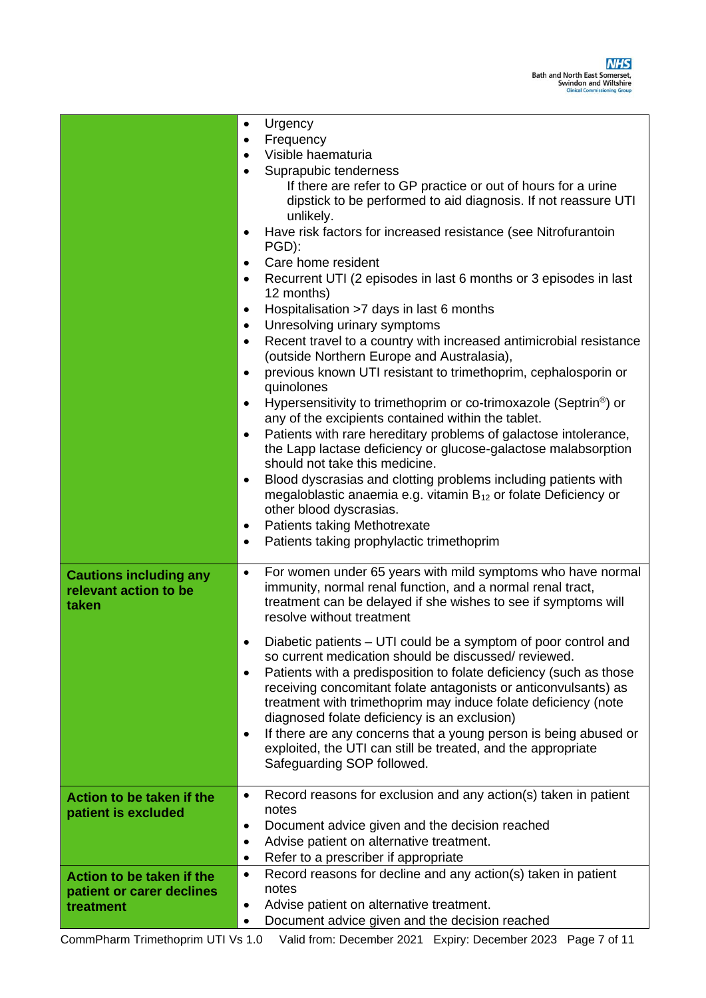|                                                                     | Urgency<br>$\bullet$<br>Frequency<br>$\bullet$<br>Visible haematuria<br>$\bullet$<br>Suprapubic tenderness<br>If there are refer to GP practice or out of hours for a urine<br>dipstick to be performed to aid diagnosis. If not reassure UTI<br>unlikely.<br>Have risk factors for increased resistance (see Nitrofurantoin<br>$\bullet$<br>PGD):<br>Care home resident<br>٠<br>Recurrent UTI (2 episodes in last 6 months or 3 episodes in last<br>٠<br>12 months)<br>Hospitalisation >7 days in last 6 months<br>$\bullet$<br>Unresolving urinary symptoms<br>$\bullet$<br>Recent travel to a country with increased antimicrobial resistance<br>$\bullet$<br>(outside Northern Europe and Australasia),<br>previous known UTI resistant to trimethoprim, cephalosporin or<br>$\bullet$<br>quinolones<br>Hypersensitivity to trimethoprim or co-trimoxazole (Septrin <sup>®</sup> ) or<br>$\bullet$<br>any of the excipients contained within the tablet.<br>Patients with rare hereditary problems of galactose intolerance,<br>$\bullet$<br>the Lapp lactase deficiency or glucose-galactose malabsorption<br>should not take this medicine.<br>Blood dyscrasias and clotting problems including patients with<br>$\bullet$<br>megaloblastic anaemia e.g. vitamin $B_{12}$ or folate Deficiency or<br>other blood dyscrasias.<br><b>Patients taking Methotrexate</b><br>٠<br>Patients taking prophylactic trimethoprim<br>$\bullet$ |
|---------------------------------------------------------------------|------------------------------------------------------------------------------------------------------------------------------------------------------------------------------------------------------------------------------------------------------------------------------------------------------------------------------------------------------------------------------------------------------------------------------------------------------------------------------------------------------------------------------------------------------------------------------------------------------------------------------------------------------------------------------------------------------------------------------------------------------------------------------------------------------------------------------------------------------------------------------------------------------------------------------------------------------------------------------------------------------------------------------------------------------------------------------------------------------------------------------------------------------------------------------------------------------------------------------------------------------------------------------------------------------------------------------------------------------------------------------------------------------------------------------------------|
| <b>Cautions including any</b><br>relevant action to be<br>taken     | For women under 65 years with mild symptoms who have normal<br>$\bullet$<br>immunity, normal renal function, and a normal renal tract,<br>treatment can be delayed if she wishes to see if symptoms will<br>resolve without treatment<br>Diabetic patients - UTI could be a symptom of poor control and<br>so current medication should be discussed/reviewed.<br>Patients with a predisposition to folate deficiency (such as those<br>$\bullet$<br>receiving concomitant folate antagonists or anticonvulsants) as<br>treatment with trimethoprim may induce folate deficiency (note<br>diagnosed folate deficiency is an exclusion)<br>If there are any concerns that a young person is being abused or<br>٠<br>exploited, the UTI can still be treated, and the appropriate<br>Safeguarding SOP followed.                                                                                                                                                                                                                                                                                                                                                                                                                                                                                                                                                                                                                            |
| Action to be taken if the<br>patient is excluded                    | Record reasons for exclusion and any action(s) taken in patient<br>٠<br>notes<br>Document advice given and the decision reached<br>$\bullet$<br>Advise patient on alternative treatment.<br>$\bullet$<br>Refer to a prescriber if appropriate<br>٠                                                                                                                                                                                                                                                                                                                                                                                                                                                                                                                                                                                                                                                                                                                                                                                                                                                                                                                                                                                                                                                                                                                                                                                       |
| Action to be taken if the<br>patient or carer declines<br>treatment | Record reasons for decline and any action(s) taken in patient<br>$\bullet$<br>notes<br>Advise patient on alternative treatment.<br>٠<br>Document advice given and the decision reached<br>$\bullet$                                                                                                                                                                                                                                                                                                                                                                                                                                                                                                                                                                                                                                                                                                                                                                                                                                                                                                                                                                                                                                                                                                                                                                                                                                      |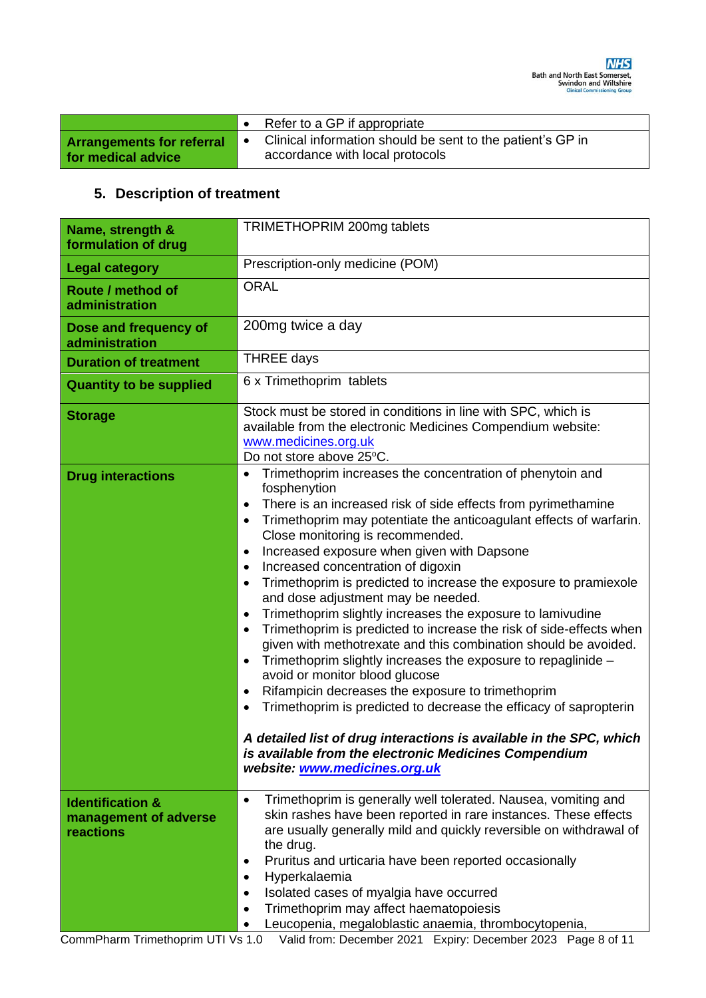|                                                        | $\bullet$ Refer to a GP if appropriate                                                        |
|--------------------------------------------------------|-----------------------------------------------------------------------------------------------|
| <b>Arrangements for referral</b><br>for medical advice | Clinical information should be sent to the patient's GP in<br>accordance with local protocols |

# **5. Description of treatment**

| Name, strength &<br>formulation of drug                           | TRIMETHOPRIM 200mg tablets                                                                                                                                                                                                                                                                                                                                                                                                                                                                                                                                                                                                                                                                                                                                                                                                                                                                                                                                                                                                                                                                                                                                                                              |  |  |
|-------------------------------------------------------------------|---------------------------------------------------------------------------------------------------------------------------------------------------------------------------------------------------------------------------------------------------------------------------------------------------------------------------------------------------------------------------------------------------------------------------------------------------------------------------------------------------------------------------------------------------------------------------------------------------------------------------------------------------------------------------------------------------------------------------------------------------------------------------------------------------------------------------------------------------------------------------------------------------------------------------------------------------------------------------------------------------------------------------------------------------------------------------------------------------------------------------------------------------------------------------------------------------------|--|--|
| <b>Legal category</b>                                             | Prescription-only medicine (POM)                                                                                                                                                                                                                                                                                                                                                                                                                                                                                                                                                                                                                                                                                                                                                                                                                                                                                                                                                                                                                                                                                                                                                                        |  |  |
| Route / method of<br>administration                               | <b>ORAL</b>                                                                                                                                                                                                                                                                                                                                                                                                                                                                                                                                                                                                                                                                                                                                                                                                                                                                                                                                                                                                                                                                                                                                                                                             |  |  |
| Dose and frequency of<br>administration                           | 200mg twice a day                                                                                                                                                                                                                                                                                                                                                                                                                                                                                                                                                                                                                                                                                                                                                                                                                                                                                                                                                                                                                                                                                                                                                                                       |  |  |
| <b>Duration of treatment</b>                                      | <b>THREE days</b>                                                                                                                                                                                                                                                                                                                                                                                                                                                                                                                                                                                                                                                                                                                                                                                                                                                                                                                                                                                                                                                                                                                                                                                       |  |  |
| <b>Quantity to be supplied</b>                                    | 6 x Trimethoprim tablets                                                                                                                                                                                                                                                                                                                                                                                                                                                                                                                                                                                                                                                                                                                                                                                                                                                                                                                                                                                                                                                                                                                                                                                |  |  |
| <b>Storage</b>                                                    | Stock must be stored in conditions in line with SPC, which is<br>available from the electronic Medicines Compendium website:<br>www.medicines.org.uk<br>Do not store above 25°C.                                                                                                                                                                                                                                                                                                                                                                                                                                                                                                                                                                                                                                                                                                                                                                                                                                                                                                                                                                                                                        |  |  |
| <b>Drug interactions</b>                                          | Trimethoprim increases the concentration of phenytoin and<br>$\bullet$<br>fosphenytion<br>There is an increased risk of side effects from pyrimethamine<br>$\bullet$<br>Trimethoprim may potentiate the anticoagulant effects of warfarin.<br>$\bullet$<br>Close monitoring is recommended.<br>Increased exposure when given with Dapsone<br>$\bullet$<br>Increased concentration of digoxin<br>$\bullet$<br>Trimethoprim is predicted to increase the exposure to pramiexole<br>$\bullet$<br>and dose adjustment may be needed.<br>Trimethoprim slightly increases the exposure to lamivudine<br>$\bullet$<br>Trimethoprim is predicted to increase the risk of side-effects when<br>$\bullet$<br>given with methotrexate and this combination should be avoided.<br>Trimethoprim slightly increases the exposure to repaglinide -<br>$\bullet$<br>avoid or monitor blood glucose<br>Rifampicin decreases the exposure to trimethoprim<br>$\bullet$<br>Trimethoprim is predicted to decrease the efficacy of sapropterin<br>$\bullet$<br>A detailed list of drug interactions is available in the SPC, which<br>is available from the electronic Medicines Compendium<br>website: www.medicines.org.uk |  |  |
| <b>Identification &amp;</b><br>management of adverse<br>reactions | Trimethoprim is generally well tolerated. Nausea, vomiting and<br>$\bullet$<br>skin rashes have been reported in rare instances. These effects<br>are usually generally mild and quickly reversible on withdrawal of<br>the drug.<br>Pruritus and urticaria have been reported occasionally<br>$\bullet$<br>Hyperkalaemia<br>$\bullet$<br>Isolated cases of myalgia have occurred<br>$\bullet$<br>Trimethoprim may affect haematopoiesis<br>Leucopenia, megaloblastic anaemia, thrombocytopenia,                                                                                                                                                                                                                                                                                                                                                                                                                                                                                                                                                                                                                                                                                                        |  |  |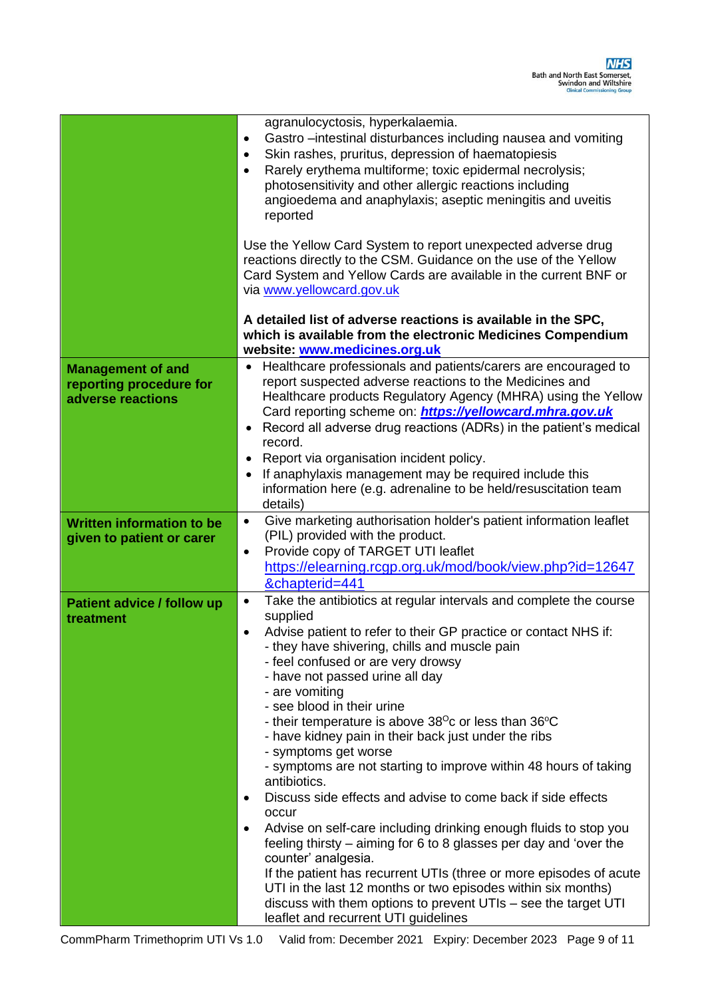|                                                                          | agranulocyctosis, hyperkalaemia.<br>Gastro - intestinal disturbances including nausea and vomiting<br>$\bullet$<br>Skin rashes, pruritus, depression of haematopiesis<br>$\bullet$<br>Rarely erythema multiforme; toxic epidermal necrolysis;<br>$\bullet$<br>photosensitivity and other allergic reactions including<br>angioedema and anaphylaxis; aseptic meningitis and uveitis<br>reported                                                                                                                                                                                                                                                                                                                                                                                                                                                                                                                                                                                                                                                                                                                |  |  |  |
|--------------------------------------------------------------------------|----------------------------------------------------------------------------------------------------------------------------------------------------------------------------------------------------------------------------------------------------------------------------------------------------------------------------------------------------------------------------------------------------------------------------------------------------------------------------------------------------------------------------------------------------------------------------------------------------------------------------------------------------------------------------------------------------------------------------------------------------------------------------------------------------------------------------------------------------------------------------------------------------------------------------------------------------------------------------------------------------------------------------------------------------------------------------------------------------------------|--|--|--|
|                                                                          | Use the Yellow Card System to report unexpected adverse drug<br>reactions directly to the CSM. Guidance on the use of the Yellow<br>Card System and Yellow Cards are available in the current BNF or<br>via www.yellowcard.gov.uk                                                                                                                                                                                                                                                                                                                                                                                                                                                                                                                                                                                                                                                                                                                                                                                                                                                                              |  |  |  |
|                                                                          | A detailed list of adverse reactions is available in the SPC,<br>which is available from the electronic Medicines Compendium<br>website: www.medicines.org.uk                                                                                                                                                                                                                                                                                                                                                                                                                                                                                                                                                                                                                                                                                                                                                                                                                                                                                                                                                  |  |  |  |
| <b>Management of and</b><br>reporting procedure for<br>adverse reactions | Healthcare professionals and patients/carers are encouraged to<br>report suspected adverse reactions to the Medicines and<br>Healthcare products Regulatory Agency (MHRA) using the Yellow<br>Card reporting scheme on: <i>https://yellowcard.mhra.gov.uk</i><br>Record all adverse drug reactions (ADRs) in the patient's medical<br>record.<br>Report via organisation incident policy.<br>If anaphylaxis management may be required include this<br>$\bullet$<br>information here (e.g. adrenaline to be held/resuscitation team<br>details)                                                                                                                                                                                                                                                                                                                                                                                                                                                                                                                                                                |  |  |  |
| <b>Written information to be</b><br>given to patient or carer            | Give marketing authorisation holder's patient information leaflet<br>$\bullet$<br>(PIL) provided with the product.<br>Provide copy of TARGET UTI leaflet<br>$\bullet$<br>https://elearning.rcgp.org.uk/mod/book/view.php?id=12647<br>&chapterid=441                                                                                                                                                                                                                                                                                                                                                                                                                                                                                                                                                                                                                                                                                                                                                                                                                                                            |  |  |  |
| <b>Patient advice / follow up</b><br>treatment                           | Take the antibiotics at regular intervals and complete the course<br>$\bullet$<br>supplied<br>Advise patient to refer to their GP practice or contact NHS if:<br>٠<br>- they have shivering, chills and muscle pain<br>- feel confused or are very drowsy<br>- have not passed urine all day<br>- are vomiting<br>- see blood in their urine<br>- their temperature is above $38^{\circ}$ c or less than $36^{\circ}$ C<br>- have kidney pain in their back just under the ribs<br>- symptoms get worse<br>- symptoms are not starting to improve within 48 hours of taking<br>antibiotics.<br>Discuss side effects and advise to come back if side effects<br>$\bullet$<br>occur<br>Advise on self-care including drinking enough fluids to stop you<br>$\bullet$<br>feeling thirsty – aiming for 6 to 8 glasses per day and 'over the<br>counter' analgesia.<br>If the patient has recurrent UTIs (three or more episodes of acute<br>UTI in the last 12 months or two episodes within six months)<br>discuss with them options to prevent UTIs – see the target UTI<br>leaflet and recurrent UTI guidelines |  |  |  |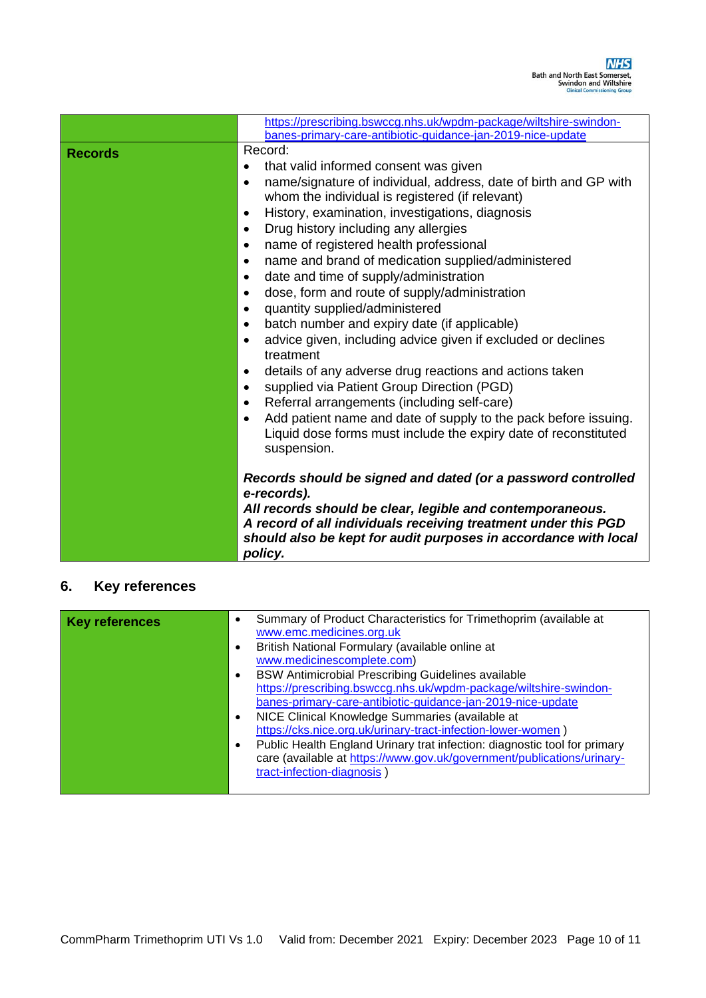|                | https://prescribing.bswccg.nhs.uk/wpdm-package/wiltshire-swindon-                                                                                                                                                                                                                                                                                                                                                                                                                                                                                                                                                                                                                                                                                                                                                                                                                                                                                                                                                                                                                                                                                                                            |
|----------------|----------------------------------------------------------------------------------------------------------------------------------------------------------------------------------------------------------------------------------------------------------------------------------------------------------------------------------------------------------------------------------------------------------------------------------------------------------------------------------------------------------------------------------------------------------------------------------------------------------------------------------------------------------------------------------------------------------------------------------------------------------------------------------------------------------------------------------------------------------------------------------------------------------------------------------------------------------------------------------------------------------------------------------------------------------------------------------------------------------------------------------------------------------------------------------------------|
| <b>Records</b> | banes-primary-care-antibiotic-guidance-jan-2019-nice-update<br>Record:<br>that valid informed consent was given<br>$\bullet$<br>name/signature of individual, address, date of birth and GP with<br>$\bullet$<br>whom the individual is registered (if relevant)<br>History, examination, investigations, diagnosis<br>$\bullet$<br>Drug history including any allergies<br>$\bullet$<br>name of registered health professional<br>$\bullet$<br>name and brand of medication supplied/administered<br>$\bullet$<br>date and time of supply/administration<br>$\bullet$<br>dose, form and route of supply/administration<br>$\bullet$<br>quantity supplied/administered<br>$\bullet$<br>batch number and expiry date (if applicable)<br>$\bullet$<br>advice given, including advice given if excluded or declines<br>$\bullet$<br>treatment<br>details of any adverse drug reactions and actions taken<br>$\bullet$<br>supplied via Patient Group Direction (PGD)<br>$\bullet$<br>Referral arrangements (including self-care)<br>$\bullet$<br>Add patient name and date of supply to the pack before issuing.<br>$\bullet$<br>Liquid dose forms must include the expiry date of reconstituted |
|                | suspension.<br>Records should be signed and dated (or a password controlled<br>e-records).<br>All records should be clear, legible and contemporaneous.<br>A record of all individuals receiving treatment under this PGD<br>should also be kept for audit purposes in accordance with local<br>policy.                                                                                                                                                                                                                                                                                                                                                                                                                                                                                                                                                                                                                                                                                                                                                                                                                                                                                      |

# **6. Key references**

| <b>Key references</b> |           | Summary of Product Characteristics for Trimethoprim (available at<br>www.emc.medicines.org.uk        |
|-----------------------|-----------|------------------------------------------------------------------------------------------------------|
|                       | $\bullet$ | British National Formulary (available online at                                                      |
|                       |           | www.medicinescomplete.com)                                                                           |
|                       | $\bullet$ | BSW Antimicrobial Prescribing Guidelines available                                                   |
|                       |           | https://prescribing.bswccg.nhs.uk/wpdm-package/wiltshire-swindon-                                    |
|                       |           | banes-primary-care-antibiotic-guidance-jan-2019-nice-update                                          |
|                       | $\bullet$ | NICE Clinical Knowledge Summaries (available at                                                      |
|                       |           | https://cks.nice.org.uk/urinary-tract-infection-lower-women)                                         |
|                       | $\bullet$ | Public Health England Urinary trat infection: diagnostic tool for primary                            |
|                       |           | care (available at https://www.gov.uk/government/publications/urinary-<br>tract-infection-diagnosis) |
|                       |           |                                                                                                      |